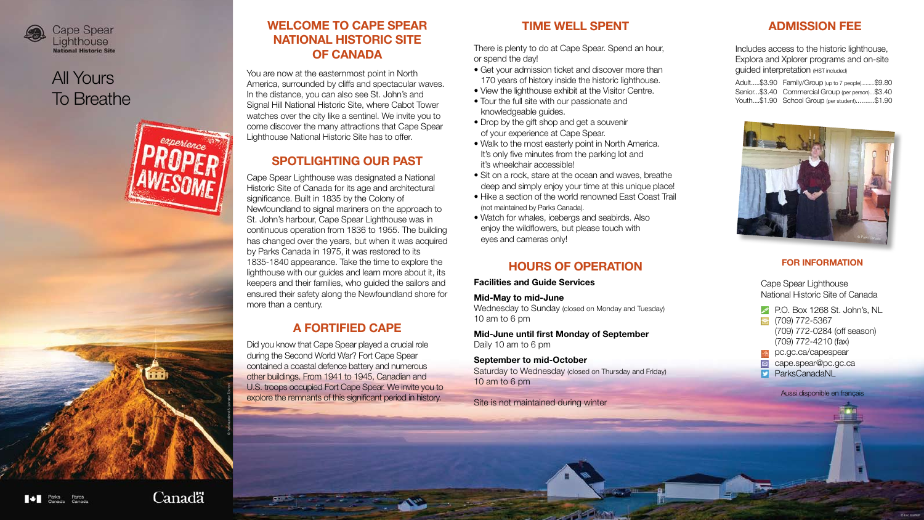

## **WELCOME TO CAPE SPEAR NATIONAL HISTORIC SITE OF CANADA**

You are now at the easternmost point in North America, surrounded by cliffs and spectacular waves. In the distance, you can also see St. John's and Signal Hill National Historic Site, where Cabot Tower watches over the city like a sentinel. We invite you to come discover the many attractions that Cape Spear Lighthouse National Historic Site has to offer.

## **SPOTLIGHTING OUR PAST**

Cape Spear Lighthouse was designated a National Historic Site of Canada for its age and architectural significance. Built in 1835 by the Colony of Newfoundland to signal mariners on the approach to St. John's harbour, Cape Spear Lighthouse was in continuous operation from 1836 to 1955. The building has changed over the years, but when it was acquired by Parks Canada in 1975, it was restored to its 1835-1840 appearance. Take the time to explore the lighthouse with our guides and learn more about it, its keepers and their families, who guided the sailors and ensured their safety along the Newfoundland shore for more than a century.

## **A FORTIFIED CAPE**

- Get your admission ticket and discover more than 170 years of history inside the historic lighthouse.
- View the lighthouse exhibit at the Visitor Centre.
- Tour the full site with our passionate and knowledgeable guides.
- Drop by the gift shop and get a souvenir of your experience at Cape Spear.
- Walk to the most easterly point in North America. It's only five minutes from the parking lot and it's wheelchair accessible!
- Sit on a rock, stare at the ocean and waves, breathe deep and simply enjoy your time at this unique place!
- Hike a section of the world renowned East Coast Trail (not maintained by Parks Canada).
- Watch for whales, icebergs and seabirds. Also enjoy the wildflowers, but please touch with eyes and cameras only!

Did you know that Cape Spear played a crucial role during the Second World War? Fort Cape Spear contained a coastal defence battery and numerous other buildings. From 1941 to 1945, Canadian and U.S. troops occupied Fort Cape Spear. We invite you to explore the remnants of this significant period in history.

- го. Вох 1268 († 1395)<br>Порад (709) 772-5367 (709) 772-0284 (off season) (709) 772-4210 (fax)
- pc.gc.ca/capespear
- cape.spear@pc.gc.ca
- ParksCanadaNL

## **TIME WELL SPENT**

There is plenty to do at Cape Spear. Spend an hour, or spend the day!

> Adult.....\$3.90 Family/Group (up to 7 people).........\$9.80 Senior...\$3.40 Commercial Group (per person)...\$3.40 Youth....\$1.90 School Group (per student)..........\$1.90

## **HOURS OF OPERATION**

#### Facilities and Guide Services

#### Mid-May to mid-June

Wednesday to Sunday (closed on Monday and Tuesday) 10 am to 6 pm

Mid-June until first Monday of September Daily 10 am to 6 pm

#### September to mid-October

Saturday to Wednesday (closed on Thursday and Friday) 10 am to 6 pm

Site is not maintained during winter

#### **For Information**

Cape Spear Lighthouse National Historic Site of Canada



Aussi disponible en français



## All Yours To Breathe

## **ADMISSION FEE**

Includes access to the historic lighthouse, Explora and Xplorer programs and on-site guided interpretation (HST included)